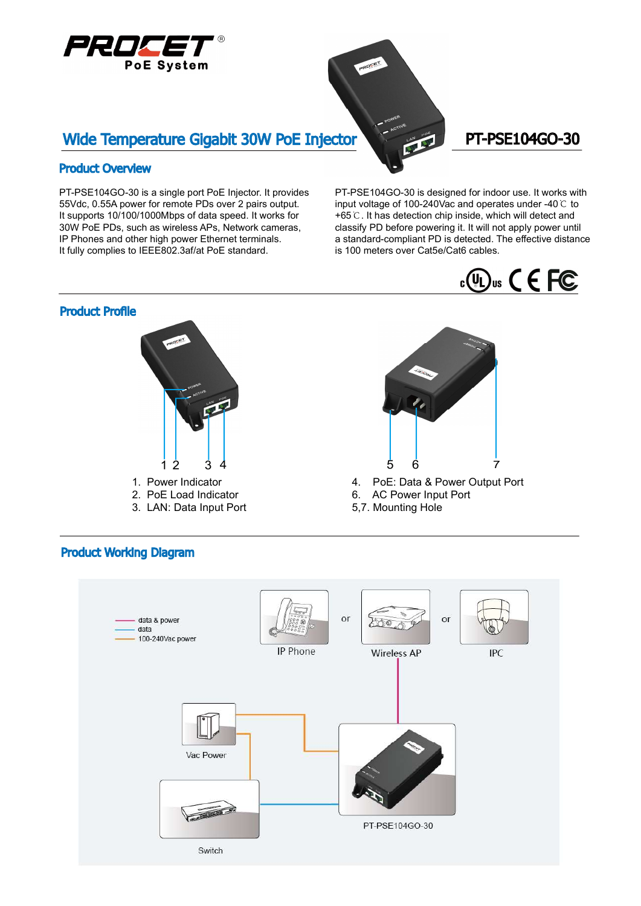

# Wide Temperature Gigabit 30W PoE Injector PT-PSE104GO-30

#### Product Overview

PT-PSE104GO-30 is a single port PoE Injector. It provides 55Vdc, 0.55A power for remote PDs over 2 pairs output. It supports 10/100/1000Mbps of data speed. It works for 30W PoE PDs, such as wireless APs, Network cameras, IP Phones and other high power Ethernet terminals. It fully complies to IEEE802.3af/at PoE standard.

PT-PSE104GO-30 is designed for indoor use. It works with input voltage of 100-240Vac and operates under -40  $\degree$  to +65 $\degree$ C. It has detection chip inside, which will detect and classify PD before powering it. It will not apply power until a standard-compliant PD is detected. The effective distance is 100 meters over Cat5e/Cat6 cables.





### Product Working Diagram